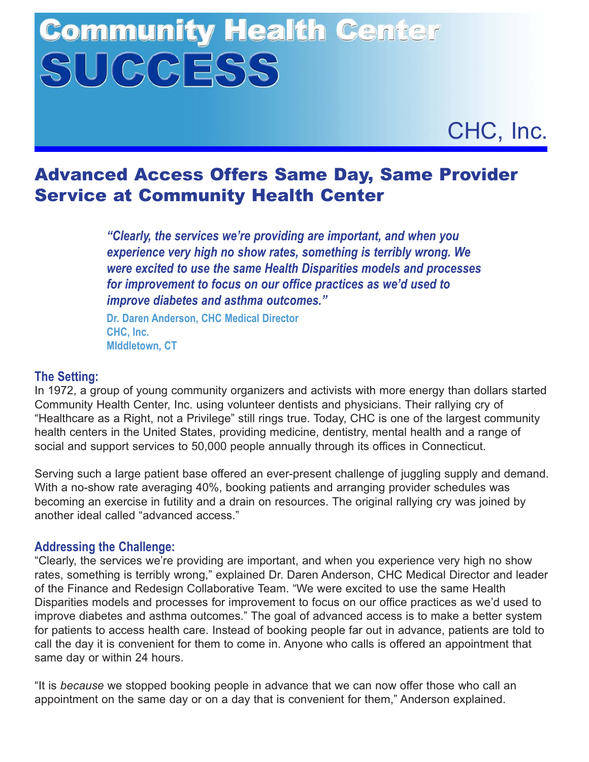# **Community Health Center** SUCCESS



# Advanced Access Offers Same Day, Same Provider Service at Community Health Center

*"Clearly, the services we're providing are important, and when you experience very high no show rates, something is terribly wrong. We were excited to use the same Health Disparities models and processes for improvement to focus on our office practices as we'd used to improve diabetes and asthma outcomes."*

**Dr. Daren Anderson, CHC Medical Director CHC, Inc. MIddletown, CT**

## **The Setting:**

In 1972, a group of young community organizers and activists with more energy than dollars started Community Health Center, Inc. using volunteer dentists and physicians. Their rallying cry of "Healthcare as a Right, not a Privilege" still rings true. Today, CHC is one of the largest community health centers in the United States, providing medicine, dentistry, mental health and a range of social and support services to 50,000 people annually through its offices in Connecticut.

Serving such a large patient base offered an ever-present challenge of juggling supply and demand. With a no-show rate averaging 40%, booking patients and arranging provider schedules was becoming an exercise in futility and a drain on resources. The original rallying cry was joined by another ideal called "advanced access."

### **Addressing the Challenge:**

"Clearly, the services we're providing are important, and when you experience very high no show rates, something is terribly wrong," explained Dr. Daren Anderson, CHC Medical Director and leader of the Finance and Redesign Collaborative Team. "We were excited to use the same Health Disparities models and processes for improvement to focus on our office practices as we'd used to improve diabetes and asthma outcomes." The goal of advanced access is to make a better system for patients to access health care. Instead of booking people far out in advance, patients are told to call the day it is convenient for them to come in. Anyone who calls is offered an appointment that same day or within 24 hours.

"It is *because* we stopped booking people in advance that we can now offer those who call an appointment on the same day or on a day that is convenient for them," Anderson explained.